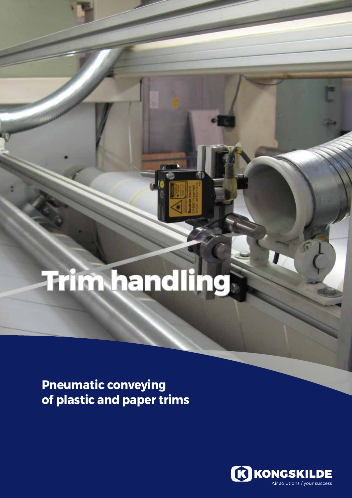# **Trim handling**

**Pneumatic conveying of plastic and paper trims**

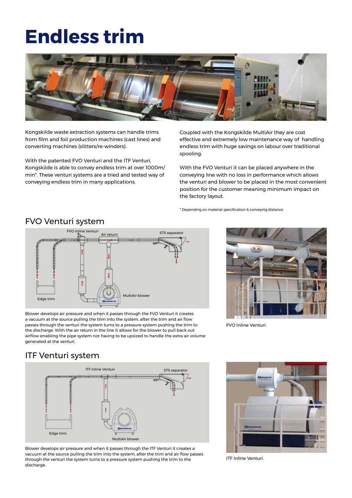### **Endless trim**



Kongskilde waste extraction systems can handle trims from film and foil production machines (cast lines) and converting machines (slitters/re-winders).

With the patented FVO Venturi and the ITF Venturi, Kongskilde is able to convey endless trim at over 1000m/ min\*. These venturi systems are a tried and tested way of conveying endless trim in many applications.

Coupled with the Kongskilde MultiAir they are cost effective and extremely low maintenance way of handling endless trim with huge savings on labour over traditional spooling.

With the FVO Venturi it can be placed anywhere in the conveying line with no loss in performance which allows the venturi and blower to be placed in the most convenient position for the customer meaning minimum impact on the factory layout.

\* Depending on material specification & conveying distance.



FVO Venturi system

Blower develops air pressure and when it passes through the FVO Venturi it creates a vacuum at the source pulling the trim into the system, after the trim and air flow passes through the venturi the system turns to a pressure system pushing the trim to the discharge. With the air return in the line it allows for the blower to pull back out airflow enabling the pipe system not having to be upsized to handle the extra air volume generated at the venturi.



FVO Inline Venturi.

### ITF Venturi system



Blower develops air pressure and when it passes through the ITF Venturi it creates a vacuum at the source pulling the trim into the system, after the trim and air flow passes through the venturi the system turns to a pressure system pushing the trim to the discharge.



ITF Inline Venturi.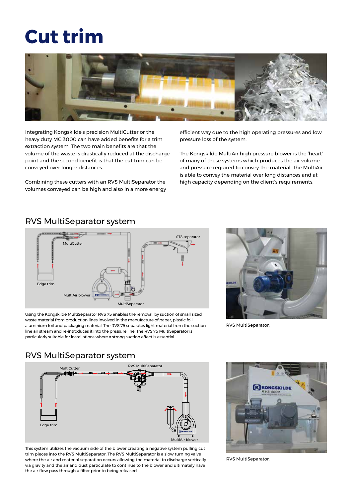## **Cut trim**



Integrating Kongskilde's precision MultiCutter or the heavy duty MC 3000 can have added benefits for a trim extraction system. The two main benefits are that the volume of the waste is drastically reduced at the discharge point and the second benefit is that the cut trim can be conveyed over longer distances.

Combining these cutters with an RVS MultiSeparator the volumes conveyed can be high and also in a more energy efficient way due to the high operating pressures and low pressure loss of the system.

The Kongskilde MultiAir high pressure blower is the 'heart' of many of these systems which produces the air volume and pressure required to convey the material. The MultiAir is able to convey the material over long distances and at high capacity depending on the client's requirements.

#### RVS MultiSeparator system



Using the Kongskilde MultiSeparator RVS 75 enables the removal, by suction of small sized waste material from production lines involved in the manufacture of paper, plastic foil, aluminium foil and packaging material. The RVS 75 separates light material from the suction line air stream and re-introduces it into the pressure line. The RVS 75 MultiSeparator is particularly suitable for installations where a strong suction effect is essential.



RVS MultiSeparator.

#### RVS MultiSeparator system



This system utilizes the vacuum side of the blower creating a negative system pulling cut trim pieces into the RVS MultiSeparator. The RVS MultiSeparator is a slow turning valve where the air and material separation occurs allowing the material to discharge vertically via gravity and the air and dust particulate to continue to the blower and ultimately have the air flow pass through a filter prior to being released.



RVS MultiSeparator.